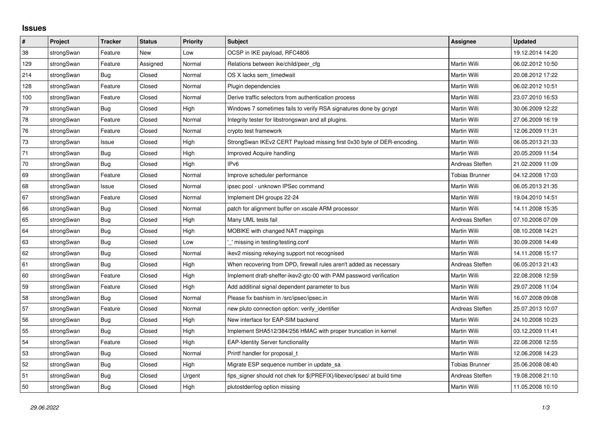## **Issues**

| #      | Project    | <b>Tracker</b> | <b>Status</b> | <b>Priority</b> | <b>Subject</b>                                                          | <b>Assignee</b>       | <b>Updated</b>   |
|--------|------------|----------------|---------------|-----------------|-------------------------------------------------------------------------|-----------------------|------------------|
| 38     | strongSwan | Feature        | <b>New</b>    | Low             | OCSP in IKE payload, RFC4806                                            |                       | 19.12.2014 14:20 |
| 129    | strongSwan | Feature        | Assigned      | Normal          | Relations between ike/child/peer cfg                                    | Martin Willi          | 06.02.2012 10:50 |
| 214    | strongSwan | Bug            | Closed        | Normal          | OS X lacks sem timedwait                                                | Martin Willi          | 20.08.2012 17:22 |
| 128    | strongSwan | Feature        | Closed        | Normal          | Plugin dependencies                                                     | Martin Willi          | 06.02.2012 10:51 |
| 100    | strongSwan | Feature        | Closed        | Normal          | Derive traffic selectors from authentication process                    | Martin Willi          | 23.07.2010 16:53 |
| 79     | strongSwan | Bug            | Closed        | High            | Windows 7 sometimes fails to verify RSA signatures done by gcrypt       | Martin Willi          | 30.06.2009 12:22 |
| 78     | strongSwan | Feature        | Closed        | Normal          | Integrity tester for libstrongswan and all plugins.                     | Martin Willi          | 27.06.2009 16:19 |
| 76     | strongSwan | Feature        | Closed        | Normal          | crypto test framework                                                   | Martin Willi          | 12.06.2009 11:31 |
| $73\,$ | strongSwan | Issue          | Closed        | High            | StrongSwan IKEv2 CERT Payload missing first 0x30 byte of DER-encoding.  | Martin Willi          | 06.05.2013 21:33 |
| 71     | strongSwan | Bug            | Closed        | High            | <b>Improved Acquire handling</b>                                        | Martin Willi          | 20.05.2009 11:54 |
| 70     | strongSwan | <b>Bug</b>     | Closed        | High            | IPv6                                                                    | Andreas Steffen       | 21.02.2009 11:09 |
| 69     | strongSwan | Feature        | Closed        | Normal          | Improve scheduler performance                                           | <b>Tobias Brunner</b> | 04.12.2008 17:03 |
| 68     | strongSwan | Issue          | Closed        | Normal          | ipsec pool - unknown IPSec command                                      | Martin Willi          | 06.05.2013 21:35 |
| 67     | strongSwan | Feature        | Closed        | Normal          | Implement DH groups 22-24                                               | Martin Willi          | 19.04.2010 14:51 |
| 66     | strongSwan | Bug            | Closed        | Normal          | patch for alignment buffer on xscale ARM processor                      | Martin Willi          | 14.11.2008 15:35 |
| 65     | strongSwan | Bug            | Closed        | High            | Many UML tests fail                                                     | Andreas Steffen       | 07.10.2008 07:09 |
| 64     | strongSwan | Bug            | Closed        | High            | MOBIKE with changed NAT mappings                                        | Martin Willi          | 08.10.2008 14:21 |
| 63     | strongSwan | Bug            | Closed        | Low             | ' missing in testing/testing.conf                                       | Martin Willi          | 30.09.2008 14:49 |
| 62     | strongSwan | <b>Bug</b>     | Closed        | Normal          | ikev2 missing rekeying support not recognised                           | Martin Willi          | 14.11.2008 15:17 |
| 61     | strongSwan | Bug            | Closed        | High            | When recovering from DPD, firewall rules aren't added as necessary      | Andreas Steffen       | 06.05.2013 21:43 |
| 60     | strongSwan | Feature        | Closed        | High            | Implement draft-sheffer-ikev2-gtc-00 with PAM password verification     | Martin Willi          | 22.08.2008 12:59 |
| 59     | strongSwan | Feature        | Closed        | High            | Add additinal signal dependent parameter to bus                         | Martin Willi          | 29.07.2008 11:04 |
| 58     | strongSwan | Bug            | Closed        | Normal          | Please fix bashism in /src/ipsec/ipsec.in                               | Martin Willi          | 16.07.2008 09:08 |
| 57     | strongSwan | Feature        | Closed        | Normal          | new pluto connection option: verify identifier                          | Andreas Steffen       | 25.07.2013 10:07 |
| 56     | strongSwan | Bug            | Closed        | High            | New interface for EAP-SIM backend                                       | Martin Willi          | 24.10.2008 10:23 |
| 55     | strongSwan | <b>Bug</b>     | Closed        | High            | Implement SHA512/384/256 HMAC with proper truncation in kernel          | Martin Willi          | 03.12.2009 11:41 |
| 54     | strongSwan | Feature        | Closed        | High            | <b>EAP-Identity Server functionality</b>                                | Martin Willi          | 22.08.2008 12:55 |
| 53     | strongSwan | Bug            | Closed        | Normal          | Printf handler for proposal t                                           | Martin Willi          | 12.06.2008 14:23 |
| 52     | strongSwan | Bug            | Closed        | High            | Migrate ESP sequence number in update_sa                                | Tobias Brunner        | 25.06.2008 08:40 |
| 51     | strongSwan | Bug            | Closed        | Urgent          | fips signer should not chek for \$(PREFIX)/libexec/ipsec/ at build time | Andreas Steffen       | 19.08.2008 21:10 |
| 50     | strongSwan | Bug            | Closed        | High            | plutostderrlog option missing                                           | Martin Willi          | 11.05.2008 10:10 |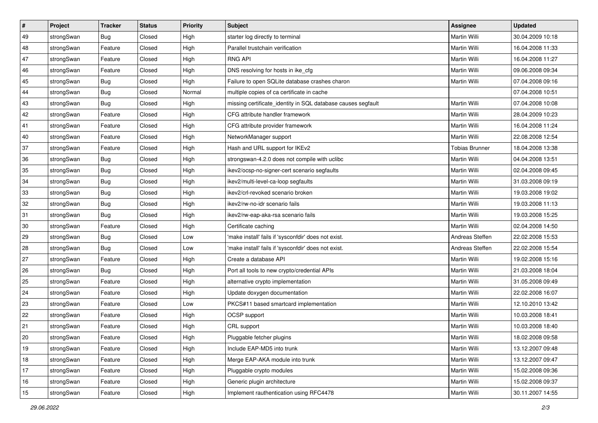| $\vert$ # | Project    | <b>Tracker</b> | <b>Status</b> | <b>Priority</b> | <b>Subject</b>                                               | Assignee              | <b>Updated</b>   |
|-----------|------------|----------------|---------------|-----------------|--------------------------------------------------------------|-----------------------|------------------|
| 49        | strongSwan | Bug            | Closed        | High            | starter log directly to terminal                             | Martin Willi          | 30.04.2009 10:18 |
| 48        | strongSwan | Feature        | Closed        | High            | Parallel trustchain verification                             | <b>Martin Willi</b>   | 16.04.2008 11:33 |
| 47        | strongSwan | Feature        | Closed        | High            | <b>RNG API</b>                                               | Martin Willi          | 16.04.2008 11:27 |
| 46        | strongSwan | Feature        | Closed        | High            | DNS resolving for hosts in ike_cfg                           | Martin Willi          | 09.06.2008 09:34 |
| 45        | strongSwan | Bug            | Closed        | High            | Failure to open SQLite database crashes charon               | <b>Martin Willi</b>   | 07.04.2008 09:16 |
| 44        | strongSwan | <b>Bug</b>     | Closed        | Normal          | multiple copies of ca certificate in cache                   |                       | 07.04.2008 10:51 |
| 43        | strongSwan | Bug            | Closed        | High            | missing certificate_identity in SQL database causes segfault | Martin Willi          | 07.04.2008 10:08 |
| 42        | strongSwan | Feature        | Closed        | High            | CFG attribute handler framework                              | Martin Willi          | 28.04.2009 10:23 |
| 41        | strongSwan | Feature        | Closed        | High            | CFG attribute provider framework                             | Martin Willi          | 16.04.2008 11:24 |
| 40        | strongSwan | Feature        | Closed        | High            | NetworkManager support                                       | Martin Willi          | 22.08.2008 12:54 |
| 37        | strongSwan | Feature        | Closed        | High            | Hash and URL support for IKEv2                               | <b>Tobias Brunner</b> | 18.04.2008 13:38 |
| 36        | strongSwan | <b>Bug</b>     | Closed        | High            | strongswan-4.2.0 does not compile with uclibc                | Martin Willi          | 04.04.2008 13:51 |
| 35        | strongSwan | Bug            | Closed        | High            | ikev2/ocsp-no-signer-cert scenario segfaults                 | <b>Martin Willi</b>   | 02.04.2008 09:45 |
| 34        | strongSwan | <b>Bug</b>     | Closed        | High            | ikev2/multi-level-ca-loop segfaults                          | Martin Willi          | 31.03.2008 09:19 |
| 33        | strongSwan | Bug            | Closed        | High            | ikev2/crl-revoked scenario broken                            | <b>Martin Willi</b>   | 19.03.2008 19:02 |
| 32        | strongSwan | <b>Bug</b>     | Closed        | High            | ikev2/rw-no-idr scenario fails                               | Martin Willi          | 19.03.2008 11:13 |
| 31        | strongSwan | <b>Bug</b>     | Closed        | High            | ikev2/rw-eap-aka-rsa scenario fails                          | <b>Martin Willi</b>   | 19.03.2008 15:25 |
| 30        | strongSwan | Feature        | Closed        | High            | Certificate caching                                          | <b>Martin Willi</b>   | 02.04.2008 14:50 |
| 29        | strongSwan | <b>Bug</b>     | Closed        | Low             | 'make install' fails if 'sysconfdir' does not exist.         | Andreas Steffen       | 22.02.2008 15:53 |
| 28        | strongSwan | Bug            | Closed        | Low             | 'make install' fails if 'sysconfdir' does not exist.         | Andreas Steffen       | 22.02.2008 15:54 |
| 27        | strongSwan | Feature        | Closed        | High            | Create a database API                                        | Martin Willi          | 19.02.2008 15:16 |
| 26        | strongSwan | Bug            | Closed        | High            | Port all tools to new crypto/credential APIs                 | Martin Willi          | 21.03.2008 18:04 |
| 25        | strongSwan | Feature        | Closed        | High            | alternative crypto implementation                            | Martin Willi          | 31.05.2008 09:49 |
| 24        | strongSwan | Feature        | Closed        | High            | Update doxygen documentation                                 | Martin Willi          | 22.02.2008 16:07 |
| 23        | strongSwan | Feature        | Closed        | Low             | PKCS#11 based smartcard implementation                       | Martin Willi          | 12.10.2010 13:42 |
| 22        | strongSwan | Feature        | Closed        | High            | OCSP support                                                 | Martin Willi          | 10.03.2008 18:41 |
| 21        | strongSwan | Feature        | Closed        | High            | CRL support                                                  | Martin Willi          | 10.03.2008 18:40 |
| 20        | strongSwan | Feature        | Closed        | High            | Pluggable fetcher plugins                                    | Martin Willi          | 18.02.2008 09:58 |
| 19        | strongSwan | Feature        | Closed        | High            | Include EAP-MD5 into trunk                                   | Martin Willi          | 13.12.2007 09:48 |
| 18        | strongSwan | Feature        | Closed        | High            | Merge EAP-AKA module into trunk                              | Martin Willi          | 13.12.2007 09:47 |
| 17        | strongSwan | Feature        | Closed        | High            | Pluggable crypto modules                                     | Martin Willi          | 15.02.2008 09:36 |
| 16        | strongSwan | Feature        | Closed        | High            | Generic plugin architecture                                  | Martin Willi          | 15.02.2008 09:37 |
| 15        | strongSwan | Feature        | Closed        | High            | Implement rauthentication using RFC4478                      | Martin Willi          | 30.11.2007 14:55 |